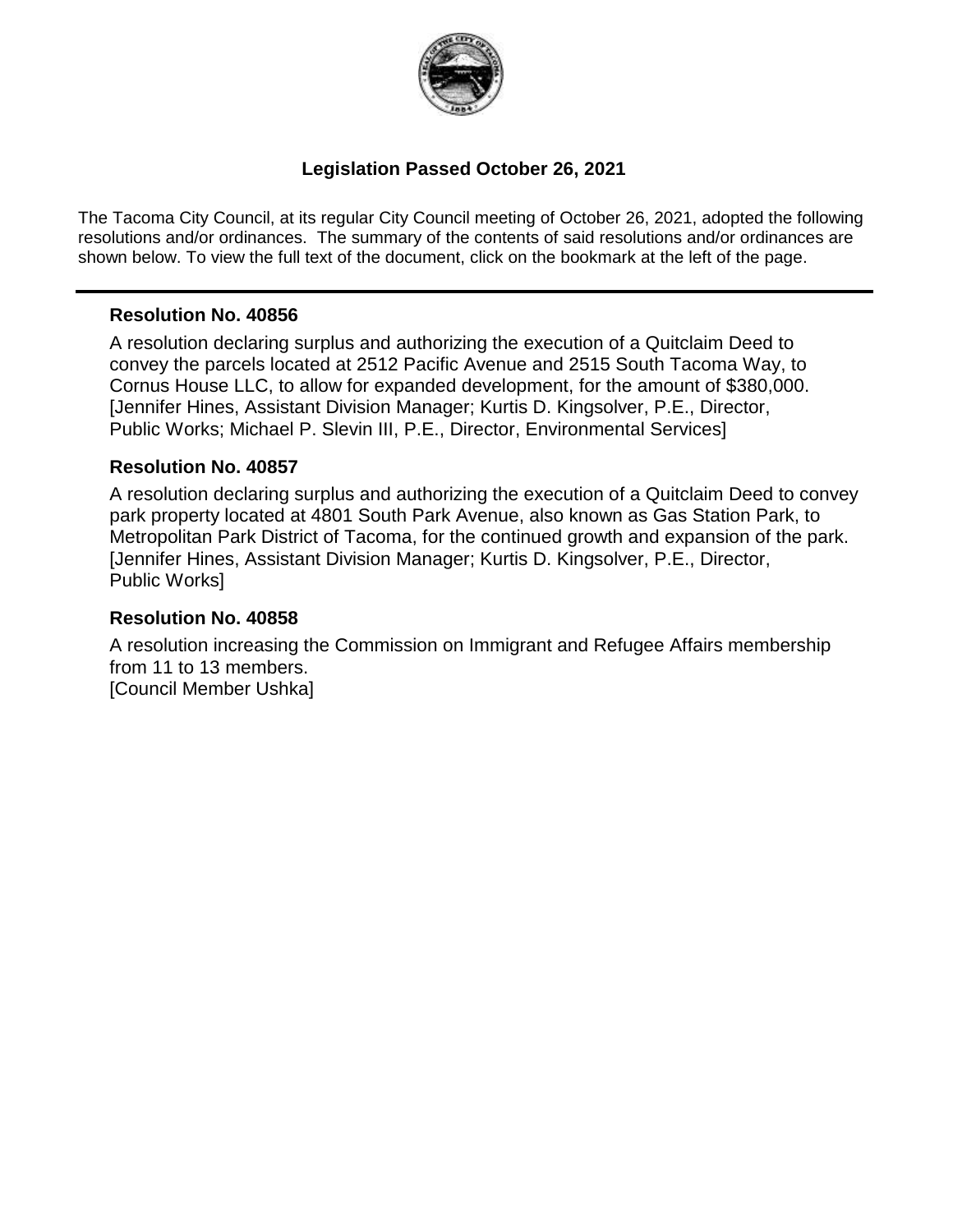

### **Legislation Passed October 26, 2021**

The Tacoma City Council, at its regular City Council meeting of October 26, 2021, adopted the following resolutions and/or ordinances. The summary of the contents of said resolutions and/or ordinances are shown below. To view the full text of the document, click on the bookmark at the left of the page.

#### **Resolution No. 40856**

A resolution declaring surplus and authorizing the execution of a Quitclaim Deed to convey the parcels located at 2512 Pacific Avenue and 2515 South Tacoma Way, to Cornus House LLC, to allow for expanded development, for the amount of \$380,000. [Jennifer Hines, Assistant Division Manager; Kurtis D. Kingsolver, P.E., Director, Public Works; Michael P. Slevin III, P.E., Director, Environmental Services]

#### **Resolution No. 40857**

A resolution declaring surplus and authorizing the execution of a Quitclaim Deed to convey park property located at 4801 South Park Avenue, also known as Gas Station Park, to Metropolitan Park District of Tacoma, for the continued growth and expansion of the park. [Jennifer Hines, Assistant Division Manager; Kurtis D. Kingsolver, P.E., Director, Public Works]

#### **Resolution No. 40858**

A resolution increasing the Commission on Immigrant and Refugee Affairs membership from 11 to 13 members. [Council Member Ushka]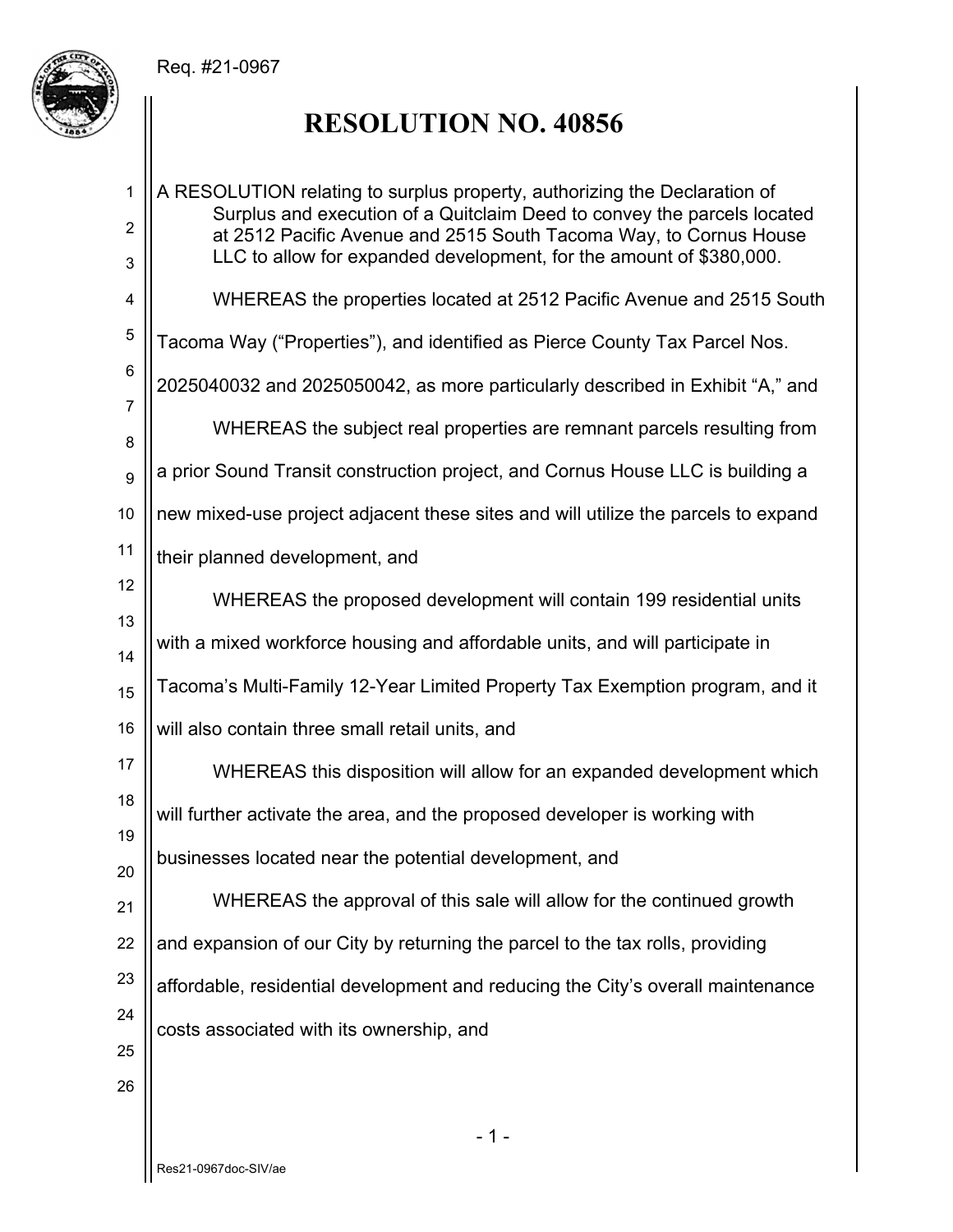### Req. #21-0967



# **RESOLUTION NO. 40856**

| $\mathbf{1}$        | A RESOLUTION relating to surplus property, authorizing the Declaration of<br>Surplus and execution of a Quitclaim Deed to convey the parcels located |
|---------------------|------------------------------------------------------------------------------------------------------------------------------------------------------|
| $\overline{2}$<br>3 | at 2512 Pacific Avenue and 2515 South Tacoma Way, to Cornus House<br>LLC to allow for expanded development, for the amount of \$380,000.             |
| 4                   | WHEREAS the properties located at 2512 Pacific Avenue and 2515 South                                                                                 |
| 5                   | Tacoma Way ("Properties"), and identified as Pierce County Tax Parcel Nos.                                                                           |
| $\,6$               | 2025040032 and 2025050042, as more particularly described in Exhibit "A," and                                                                        |
| $\overline{7}$<br>8 | WHEREAS the subject real properties are remnant parcels resulting from                                                                               |
| 9                   | a prior Sound Transit construction project, and Cornus House LLC is building a                                                                       |
| 10                  | new mixed-use project adjacent these sites and will utilize the parcels to expand                                                                    |
| 11                  | their planned development, and                                                                                                                       |
| 12                  | WHEREAS the proposed development will contain 199 residential units                                                                                  |
| 13<br>14            | with a mixed workforce housing and affordable units, and will participate in                                                                         |
| 15                  | Tacoma's Multi-Family 12-Year Limited Property Tax Exemption program, and it                                                                         |
| 16                  | will also contain three small retail units, and                                                                                                      |
| 17                  | WHEREAS this disposition will allow for an expanded development which                                                                                |
| 18                  | will further activate the area, and the proposed developer is working with                                                                           |
| 19<br>20            | businesses located near the potential development, and                                                                                               |
| 21                  | WHEREAS the approval of this sale will allow for the continued growth                                                                                |
| 22                  | and expansion of our City by returning the parcel to the tax rolls, providing                                                                        |
| 23                  | affordable, residential development and reducing the City's overall maintenance                                                                      |
| 24                  | costs associated with its ownership, and                                                                                                             |
| 25                  |                                                                                                                                                      |
| 26                  |                                                                                                                                                      |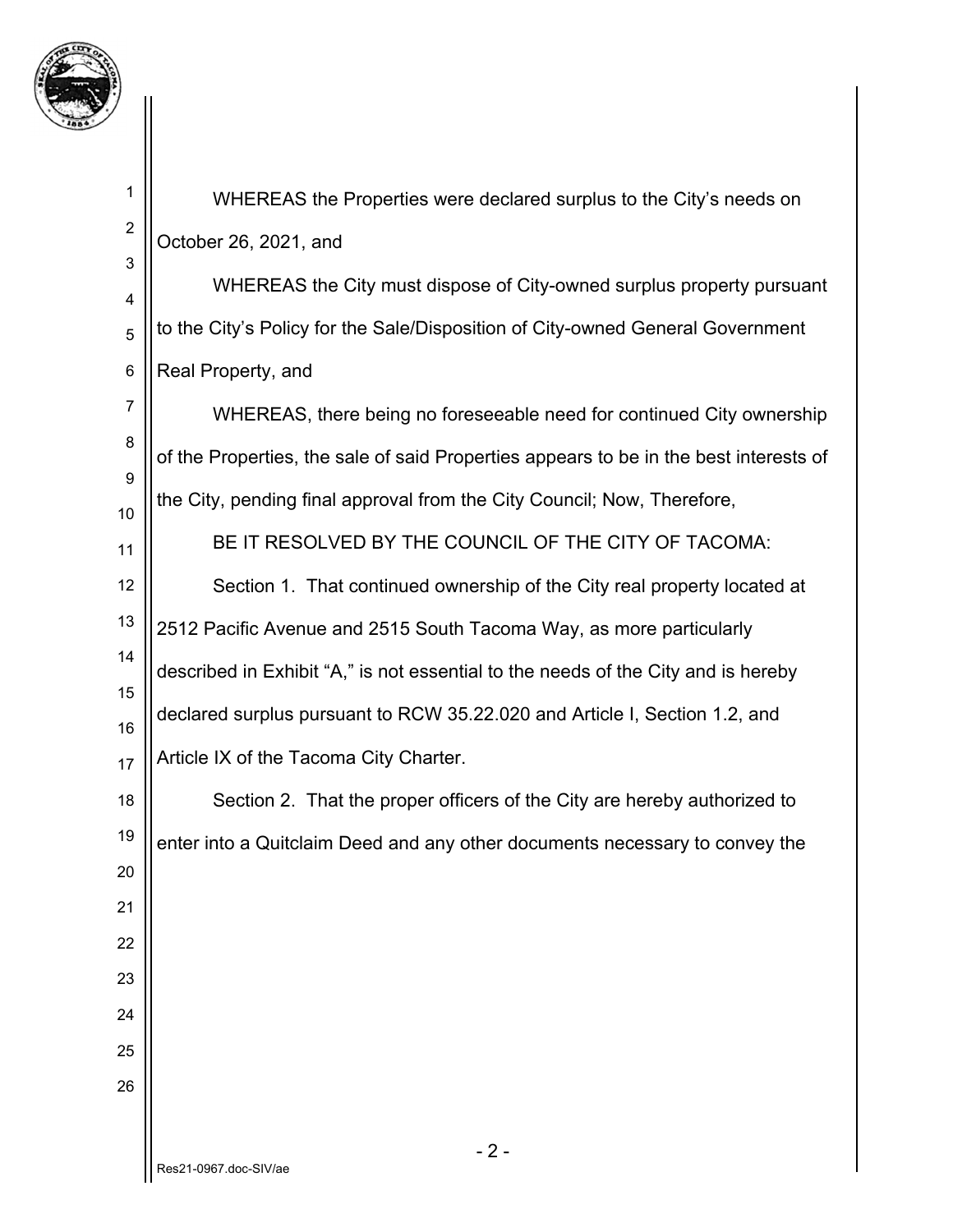

| 1                     | WHEREAS the Properties were declared surplus to the City's needs on                   |
|-----------------------|---------------------------------------------------------------------------------------|
| $\overline{c}$        | October 26, 2021, and                                                                 |
| 3<br>4                | WHEREAS the City must dispose of City-owned surplus property pursuant                 |
| 5                     | to the City's Policy for the Sale/Disposition of City-owned General Government        |
| 6                     | Real Property, and                                                                    |
| $\overline{7}$        | WHEREAS, there being no foreseeable need for continued City ownership                 |
| 8<br>$\boldsymbol{9}$ | of the Properties, the sale of said Properties appears to be in the best interests of |
| 10                    | the City, pending final approval from the City Council; Now, Therefore,               |
| 11                    | BE IT RESOLVED BY THE COUNCIL OF THE CITY OF TACOMA:                                  |
| 12                    | Section 1. That continued ownership of the City real property located at              |
| 13                    | 2512 Pacific Avenue and 2515 South Tacoma Way, as more particularly                   |
| 14                    | described in Exhibit "A," is not essential to the needs of the City and is hereby     |
| 15<br>16              | declared surplus pursuant to RCW 35.22.020 and Article I, Section 1.2, and            |
| 17                    | Article IX of the Tacoma City Charter.                                                |
| 18                    | Section 2. That the proper officers of the City are hereby authorized to              |
| 19                    | enter into a Quitclaim Deed and any other documents necessary to convey the           |
| 20                    |                                                                                       |
| 21                    |                                                                                       |
| 22                    |                                                                                       |
| 23                    |                                                                                       |
| 24                    |                                                                                       |
| 25<br>26              |                                                                                       |
|                       |                                                                                       |
|                       | $-2-$                                                                                 |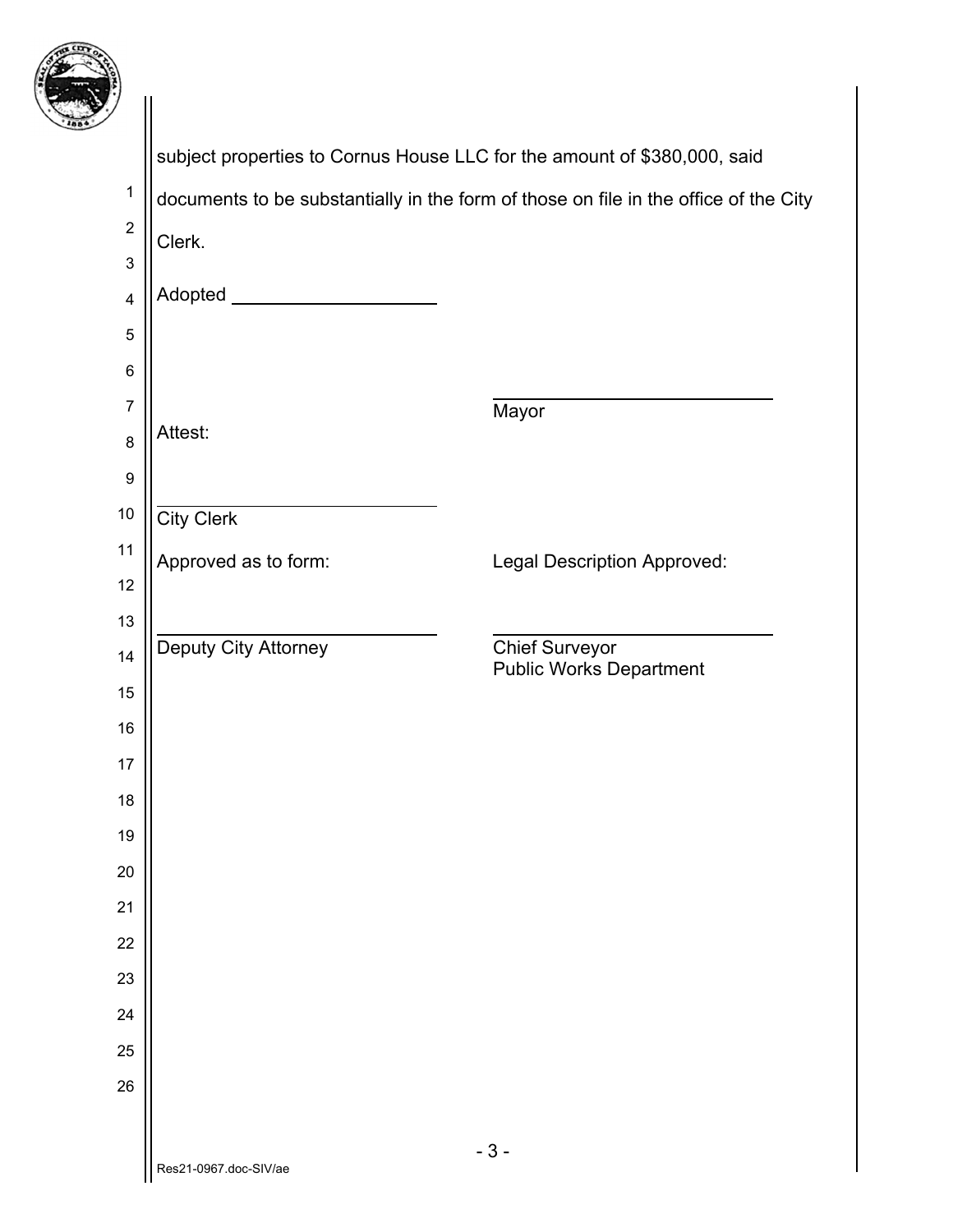

| 7                       |                                                                          |                                                                                      |
|-------------------------|--------------------------------------------------------------------------|--------------------------------------------------------------------------------------|
|                         | subject properties to Cornus House LLC for the amount of \$380,000, said |                                                                                      |
| $\mathbf 1$             |                                                                          | documents to be substantially in the form of those on file in the office of the City |
| $\boldsymbol{2}$        | Clerk.                                                                   |                                                                                      |
| 3                       |                                                                          |                                                                                      |
| $\overline{\mathbf{4}}$ | Adopted ___                                                              |                                                                                      |
| 5                       |                                                                          |                                                                                      |
| 6                       |                                                                          |                                                                                      |
| $\overline{7}$          |                                                                          | Mayor                                                                                |
| 8                       | Attest:                                                                  |                                                                                      |
| $\boldsymbol{9}$        |                                                                          |                                                                                      |
| 10                      | <b>City Clerk</b>                                                        |                                                                                      |
| 11                      | Approved as to form:                                                     | <b>Legal Description Approved:</b>                                                   |
| 12                      |                                                                          |                                                                                      |
| 13                      | Deputy City Attorney                                                     |                                                                                      |
| 14                      |                                                                          | <b>Chief Surveyor</b><br><b>Public Works Department</b>                              |
| 15                      |                                                                          |                                                                                      |
| 16                      |                                                                          |                                                                                      |
| 17                      |                                                                          |                                                                                      |
| 18                      |                                                                          |                                                                                      |
| 19                      |                                                                          |                                                                                      |
| 20                      |                                                                          |                                                                                      |
| 21<br>22                |                                                                          |                                                                                      |
| 23                      |                                                                          |                                                                                      |
| 24                      |                                                                          |                                                                                      |
| 25                      |                                                                          |                                                                                      |
| 26                      |                                                                          |                                                                                      |
|                         |                                                                          |                                                                                      |
|                         | $0087$ doo $911/a$                                                       | $-3-$                                                                                |
|                         |                                                                          |                                                                                      |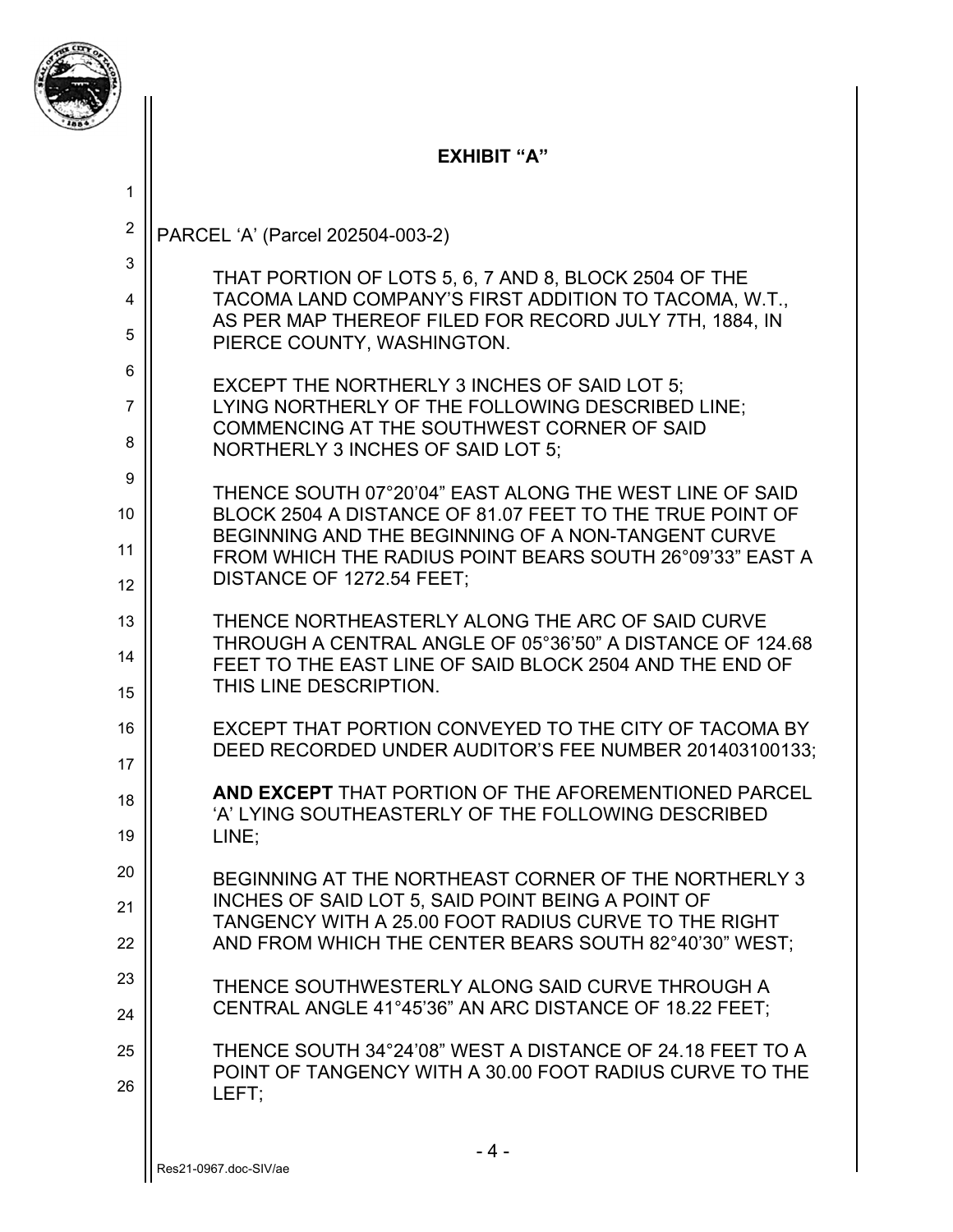

### **EXHIBIT "A"**

| 1              |                                                                                                                 |
|----------------|-----------------------------------------------------------------------------------------------------------------|
| $\overline{2}$ | PARCEL 'A' (Parcel 202504-003-2)                                                                                |
| 3              | THAT PORTION OF LOTS 5, 6, 7 AND 8, BLOCK 2504 OF THE                                                           |
| $\overline{4}$ | TACOMA LAND COMPANY'S FIRST ADDITION TO TACOMA, W.T.,<br>AS PER MAP THEREOF FILED FOR RECORD JULY 7TH, 1884, IN |
| 5              | PIERCE COUNTY, WASHINGTON.                                                                                      |
| 6              | EXCEPT THE NORTHERLY 3 INCHES OF SAID LOT 5;                                                                    |
| $\overline{7}$ | LYING NORTHERLY OF THE FOLLOWING DESCRIBED LINE;<br>COMMENCING AT THE SOUTHWEST CORNER OF SAID                  |
| 8              | NORTHERLY 3 INCHES OF SAID LOT 5;                                                                               |
| 9              | THENCE SOUTH 07°20'04" EAST ALONG THE WEST LINE OF SAID                                                         |
| 10             | BLOCK 2504 A DISTANCE OF 81.07 FEET TO THE TRUE POINT OF<br>BEGINNING AND THE BEGINNING OF A NON-TANGENT CURVE  |
| 11             | FROM WHICH THE RADIUS POINT BEARS SOUTH 26°09'33" EAST A                                                        |
| 12             | DISTANCE OF 1272.54 FEET;                                                                                       |
| 13             | THENCE NORTHEASTERLY ALONG THE ARC OF SAID CURVE<br>THROUGH A CENTRAL ANGLE OF 05°36'50" A DISTANCE OF 124.68   |
| 14             | FEET TO THE EAST LINE OF SAID BLOCK 2504 AND THE END OF                                                         |
| 15             | THIS LINE DESCRIPTION.                                                                                          |
| 16             | EXCEPT THAT PORTION CONVEYED TO THE CITY OF TACOMA BY<br>DEED RECORDED UNDER AUDITOR'S FEE NUMBER 201403100133; |
| 17             |                                                                                                                 |
| 18             | AND EXCEPT THAT PORTION OF THE AFOREMENTIONED PARCEL<br>'A' LYING SOUTHEASTERLY OF THE FOLLOWING DESCRIBED      |
| 19             | LINE;                                                                                                           |
| 20             | BEGINNING AT THE NORTHEAST CORNER OF THE NORTHERLY 3                                                            |
| 21             | INCHES OF SAID LOT 5, SAID POINT BEING A POINT OF<br>TANGENCY WITH A 25.00 FOOT RADIUS CURVE TO THE RIGHT       |
| 22             | AND FROM WHICH THE CENTER BEARS SOUTH 82°40'30" WEST;                                                           |
| 23             | THENCE SOUTHWESTERLY ALONG SAID CURVE THROUGH A                                                                 |
| 24             | CENTRAL ANGLE 41°45'36" AN ARC DISTANCE OF 18.22 FEET;                                                          |
| 25             | THENCE SOUTH 34°24'08" WEST A DISTANCE OF 24.18 FEET TO A                                                       |
| 26             | POINT OF TANGENCY WITH A 30.00 FOOT RADIUS CURVE TO THE<br>LEFT:                                                |
|                | $-4-$                                                                                                           |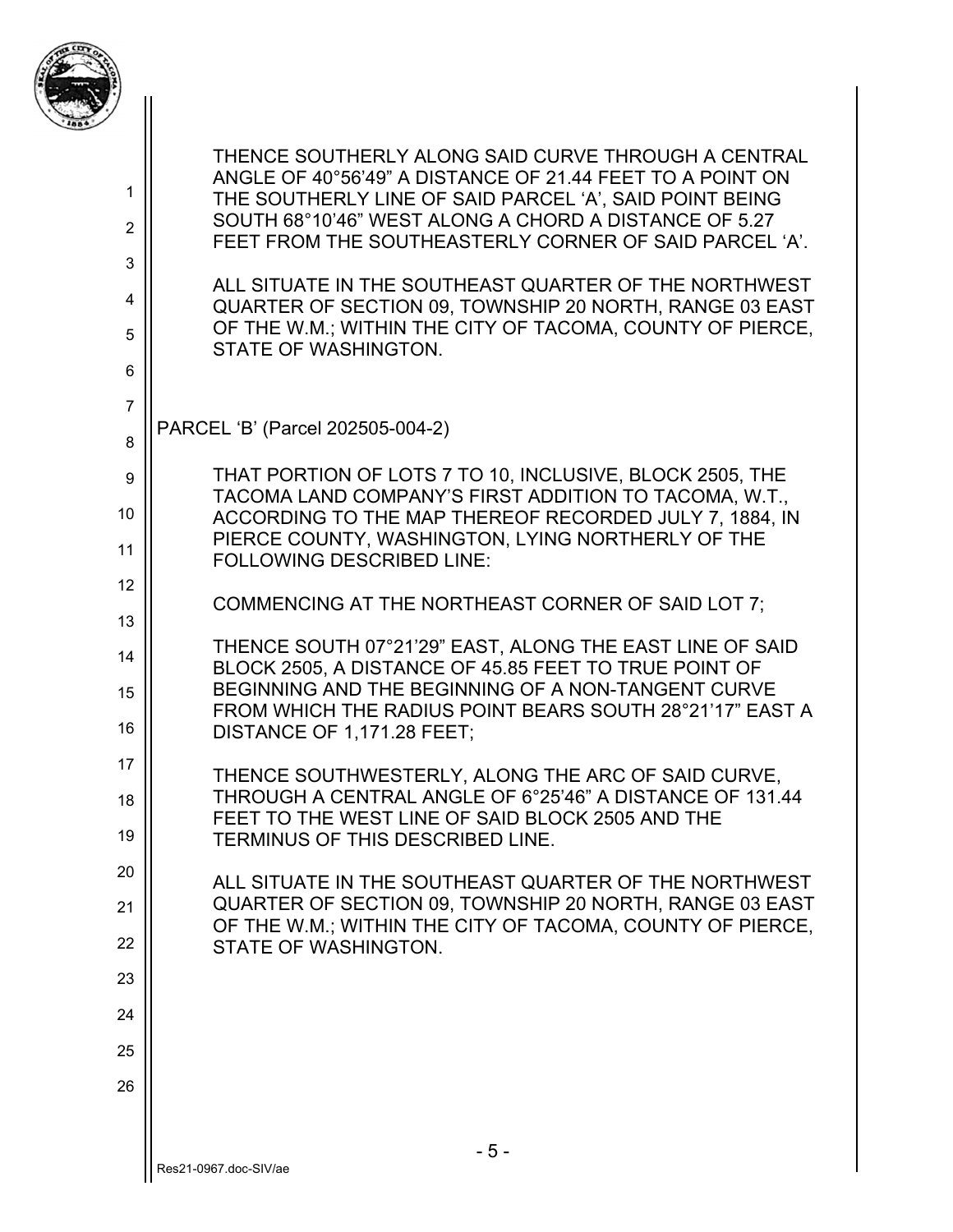

| 1<br>$\overline{2}$<br>3 | THENCE SOUTHERLY ALONG SAID CURVE THROUGH A CENTRAL<br>ANGLE OF 40°56'49" A DISTANCE OF 21.44 FEET TO A POINT ON<br>THE SOUTHERLY LINE OF SAID PARCEL 'A', SAID POINT BEING<br>SOUTH 68°10'46" WEST ALONG A CHORD A DISTANCE OF 5.27<br>FEET FROM THE SOUTHEASTERLY CORNER OF SAID PARCEL 'A'. |
|--------------------------|------------------------------------------------------------------------------------------------------------------------------------------------------------------------------------------------------------------------------------------------------------------------------------------------|
| 4                        | ALL SITUATE IN THE SOUTHEAST QUARTER OF THE NORTHWEST<br>QUARTER OF SECTION 09, TOWNSHIP 20 NORTH, RANGE 03 EAST                                                                                                                                                                               |
| 5                        | OF THE W.M.; WITHIN THE CITY OF TACOMA, COUNTY OF PIERCE,<br>STATE OF WASHINGTON.                                                                                                                                                                                                              |
| 6                        |                                                                                                                                                                                                                                                                                                |
| $\overline{7}$           | PARCEL 'B' (Parcel 202505-004-2)                                                                                                                                                                                                                                                               |
| 8<br>9                   | THAT PORTION OF LOTS 7 TO 10, INCLUSIVE, BLOCK 2505, THE                                                                                                                                                                                                                                       |
| 10                       | TACOMA LAND COMPANY'S FIRST ADDITION TO TACOMA, W.T.,<br>ACCORDING TO THE MAP THEREOF RECORDED JULY 7, 1884, IN                                                                                                                                                                                |
| 11                       | PIERCE COUNTY, WASHINGTON, LYING NORTHERLY OF THE<br><b>FOLLOWING DESCRIBED LINE:</b>                                                                                                                                                                                                          |
| 12                       |                                                                                                                                                                                                                                                                                                |
| 13                       | COMMENCING AT THE NORTHEAST CORNER OF SAID LOT 7;                                                                                                                                                                                                                                              |
| 14<br>15                 | THENCE SOUTH 07°21'29" EAST, ALONG THE EAST LINE OF SAID<br>BLOCK 2505, A DISTANCE OF 45.85 FEET TO TRUE POINT OF<br>BEGINNING AND THE BEGINNING OF A NON-TANGENT CURVE                                                                                                                        |
| 16                       | FROM WHICH THE RADIUS POINT BEARS SOUTH 28°21'17" EAST A<br>DISTANCE OF 1,171.28 FEET;                                                                                                                                                                                                         |
| 17                       | THENCE SOUTHWESTERLY, ALONG THE ARC OF SAID CURVE,                                                                                                                                                                                                                                             |
| 18                       | THROUGH A CENTRAL ANGLE OF 6°25'46" A DISTANCE OF 131.44<br>FEET TO THE WEST LINE OF SAID BLOCK 2505 AND THE                                                                                                                                                                                   |
| 19                       | TERMINUS OF THIS DESCRIBED LINE.                                                                                                                                                                                                                                                               |
| 20<br>21                 | ALL SITUATE IN THE SOUTHEAST QUARTER OF THE NORTHWEST<br>QUARTER OF SECTION 09, TOWNSHIP 20 NORTH, RANGE 03 EAST                                                                                                                                                                               |
| 22                       | OF THE W.M.; WITHIN THE CITY OF TACOMA, COUNTY OF PIERCE,<br>STATE OF WASHINGTON.                                                                                                                                                                                                              |
| 23                       |                                                                                                                                                                                                                                                                                                |
| 24                       |                                                                                                                                                                                                                                                                                                |
| 25                       |                                                                                                                                                                                                                                                                                                |
| 26                       |                                                                                                                                                                                                                                                                                                |
|                          |                                                                                                                                                                                                                                                                                                |
|                          | $-5-$<br>Res21-0967.doc-SIV/ae                                                                                                                                                                                                                                                                 |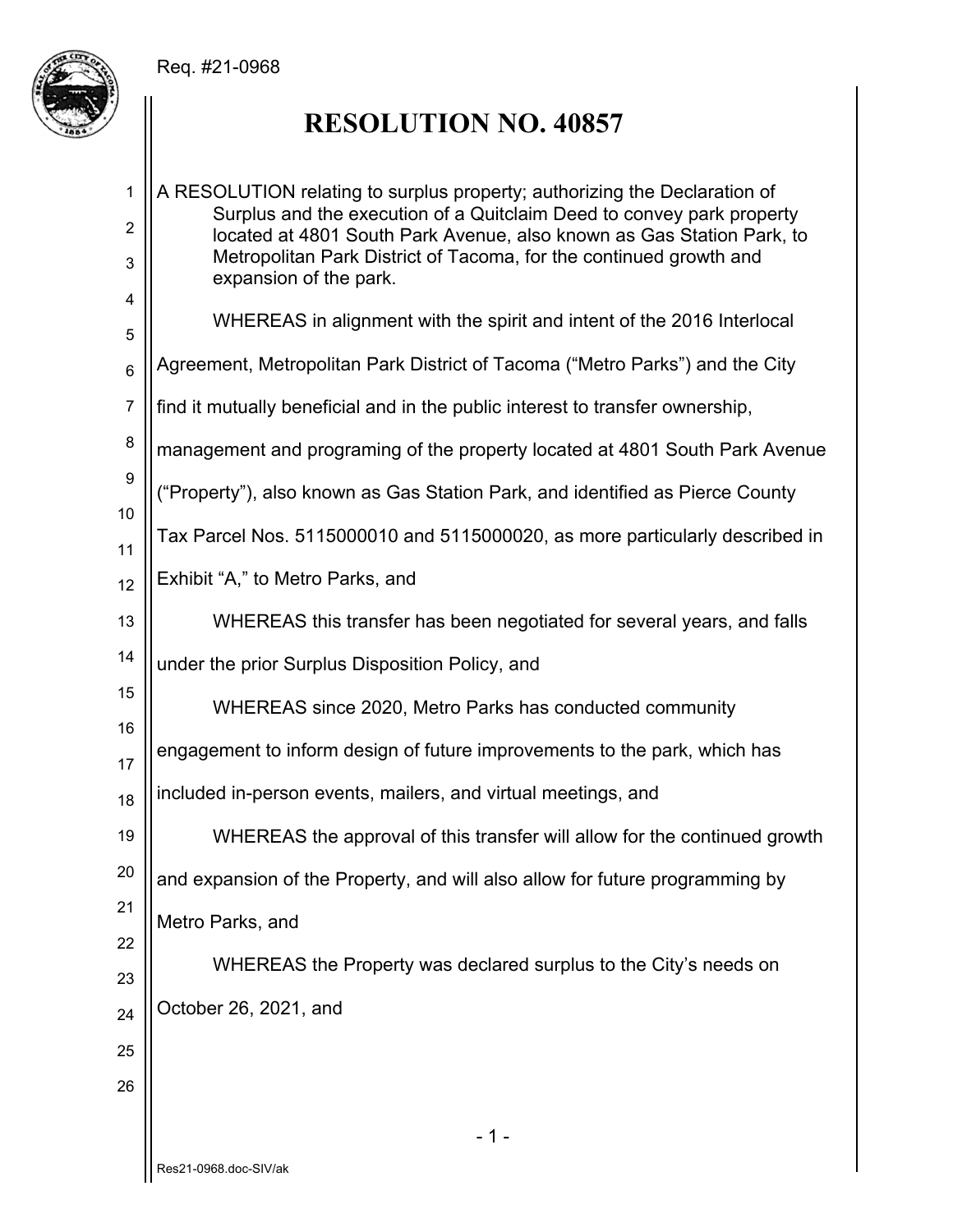Req. #21-0968



# **RESOLUTION NO. 40857**

| 1               | A RESOLUTION relating to surplus property; authorizing the Declaration of<br>Surplus and the execution of a Quitclaim Deed to convey park property |
|-----------------|----------------------------------------------------------------------------------------------------------------------------------------------------|
| 2<br>3          | located at 4801 South Park Avenue, also known as Gas Station Park, to<br>Metropolitan Park District of Tacoma, for the continued growth and        |
| 4               | expansion of the park.                                                                                                                             |
| 5               | WHEREAS in alignment with the spirit and intent of the 2016 Interlocal                                                                             |
| $6\phantom{1}6$ | Agreement, Metropolitan Park District of Tacoma ("Metro Parks") and the City                                                                       |
| $\overline{7}$  | find it mutually beneficial and in the public interest to transfer ownership,                                                                      |
| 8               | management and programing of the property located at 4801 South Park Avenue                                                                        |
| 9<br>10         | ("Property"), also known as Gas Station Park, and identified as Pierce County                                                                      |
| 11              | Tax Parcel Nos. 5115000010 and 5115000020, as more particularly described in                                                                       |
| 12              | Exhibit "A," to Metro Parks, and                                                                                                                   |
| 13              | WHEREAS this transfer has been negotiated for several years, and falls                                                                             |
| 14              | under the prior Surplus Disposition Policy, and                                                                                                    |
| 15              | WHEREAS since 2020, Metro Parks has conducted community                                                                                            |
| 16<br>17        | engagement to inform design of future improvements to the park, which has                                                                          |
| 18              | included in-person events, mailers, and virtual meetings, and                                                                                      |
| 19              | WHEREAS the approval of this transfer will allow for the continued growth                                                                          |
| 20              | and expansion of the Property, and will also allow for future programming by                                                                       |
| 21              | Metro Parks, and                                                                                                                                   |
| 22<br>23        | WHEREAS the Property was declared surplus to the City's needs on                                                                                   |
| 24              | October 26, 2021, and                                                                                                                              |
| 25              |                                                                                                                                                    |
| 26              |                                                                                                                                                    |
|                 |                                                                                                                                                    |
|                 | $-1-$                                                                                                                                              |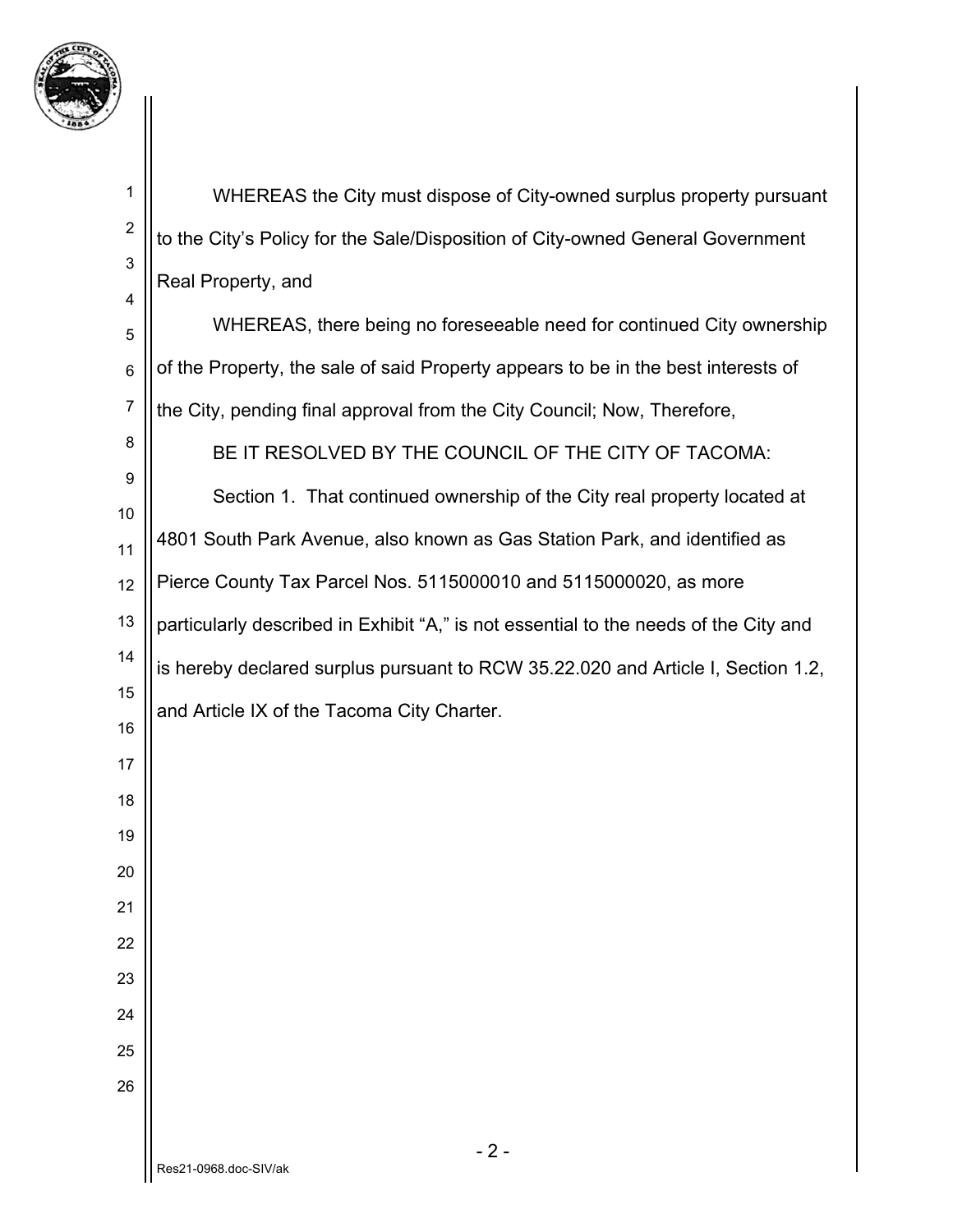

| $\mathbf 1$      | WHEREAS the City must dispose of City-owned surplus property pursuant                |
|------------------|--------------------------------------------------------------------------------------|
| $\boldsymbol{2}$ | to the City's Policy for the Sale/Disposition of City-owned General Government       |
| 3<br>4           | Real Property, and                                                                   |
| 5                | WHEREAS, there being no foreseeable need for continued City ownership                |
| 6                | of the Property, the sale of said Property appears to be in the best interests of    |
| $\overline{7}$   | the City, pending final approval from the City Council; Now, Therefore,              |
| 8                | BE IT RESOLVED BY THE COUNCIL OF THE CITY OF TACOMA:                                 |
| 9<br>10          | Section 1. That continued ownership of the City real property located at             |
| 11               | 4801 South Park Avenue, also known as Gas Station Park, and identified as            |
| 12               | Pierce County Tax Parcel Nos. 5115000010 and 5115000020, as more                     |
| 13               | particularly described in Exhibit "A," is not essential to the needs of the City and |
| 14               | is hereby declared surplus pursuant to RCW 35.22.020 and Article I, Section 1.2,     |
| 15               | and Article IX of the Tacoma City Charter.                                           |
| 16<br>17         |                                                                                      |
| 18               |                                                                                      |
| 19               |                                                                                      |
| 20               |                                                                                      |
| 21               |                                                                                      |
| 22               |                                                                                      |
| 23               |                                                                                      |
| 24<br>25         |                                                                                      |
| 26               |                                                                                      |
|                  |                                                                                      |
|                  | $-2-$<br>Res21-0968.doc-SIV/ak                                                       |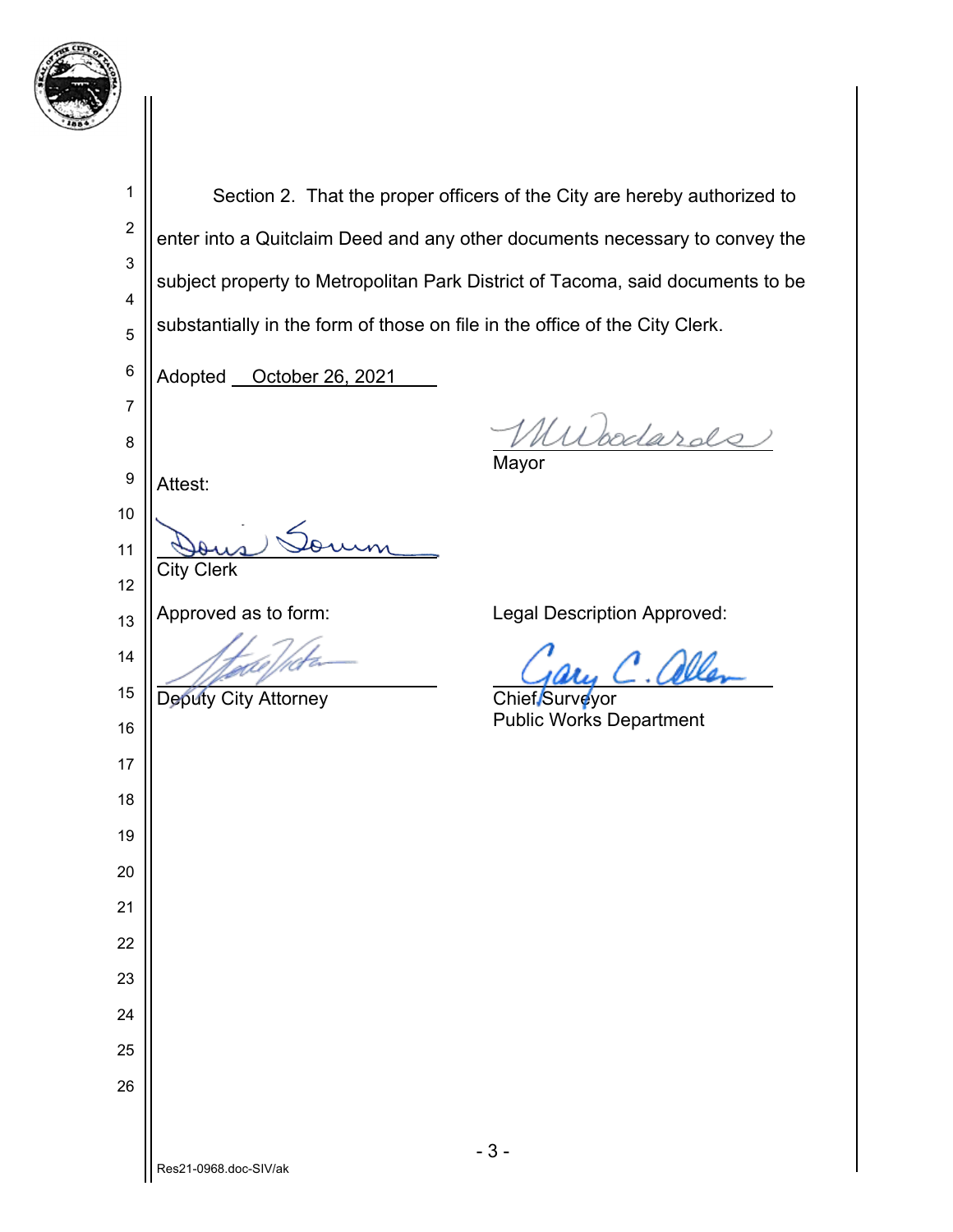

| 1                | Section 2. That the proper officers of the City are hereby authorized to       |
|------------------|--------------------------------------------------------------------------------|
| $\boldsymbol{2}$ | enter into a Quitclaim Deed and any other documents necessary to convey the    |
| 3                | subject property to Metropolitan Park District of Tacoma, said documents to be |
| 4                |                                                                                |
| 5                | substantially in the form of those on file in the office of the City Clerk.    |
| 6                | Adopted <b>__ October 26, 2021</b>                                             |
| $\overline{7}$   | Murodards                                                                      |
| 8                | Mayor                                                                          |
| 9                | Attest:                                                                        |
| 10               |                                                                                |
| 11               | <b>City Clerk</b>                                                              |
| 12               | Approved as to form:<br>Legal Description Approved:                            |
| 13<br>14         |                                                                                |
| 15               |                                                                                |
| 16               | Deputy City Attorney<br>Chief Surveyor<br><b>Public Works Department</b>       |
| 17               |                                                                                |
| 18               |                                                                                |
| 19               |                                                                                |
| 20               |                                                                                |
| 21               |                                                                                |
| 22               |                                                                                |
| 23               |                                                                                |
| 24               |                                                                                |
| 25               |                                                                                |
| 26               |                                                                                |
|                  |                                                                                |
|                  | $-3-$<br>Res21-0968.doc-SIV/ak                                                 |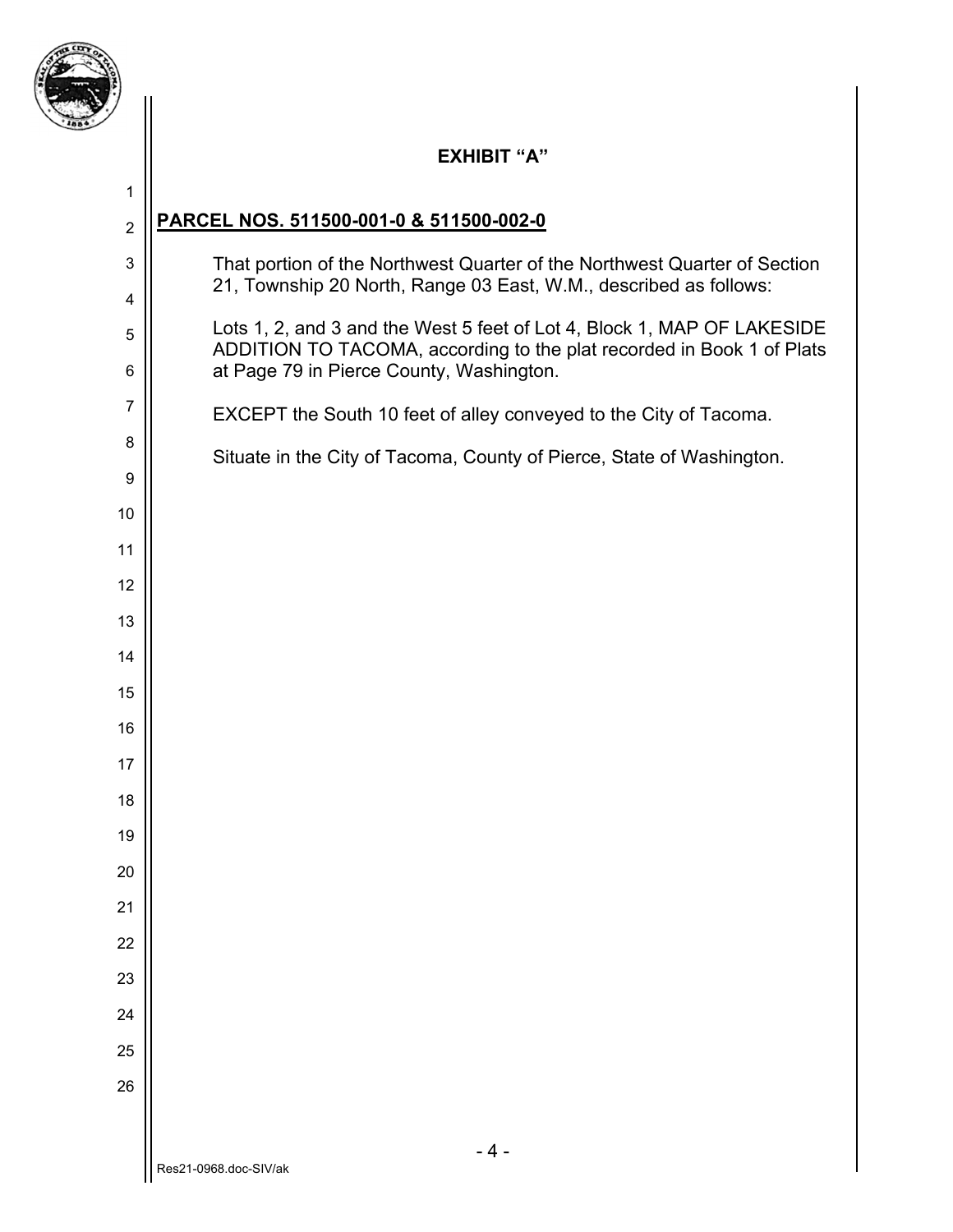

## **EXHIBIT "A" PARCEL NOS. 511500-001-0 & 511500-002-0**  That portion of the Northwest Quarter of the Northwest Quarter of Section 21, Township 20 North, Range 03 East, W.M., described as follows: Lots 1, 2, and 3 and the West 5 feet of Lot 4, Block 1, MAP OF LAKESIDE ADDITION TO TACOMA, according to the plat recorded in Book 1 of Plats at Page 79 in Pierce County, Washington. EXCEPT the South 10 feet of alley conveyed to the City of Tacoma. Situate in the City of Tacoma, County of Pierce, State of Washington.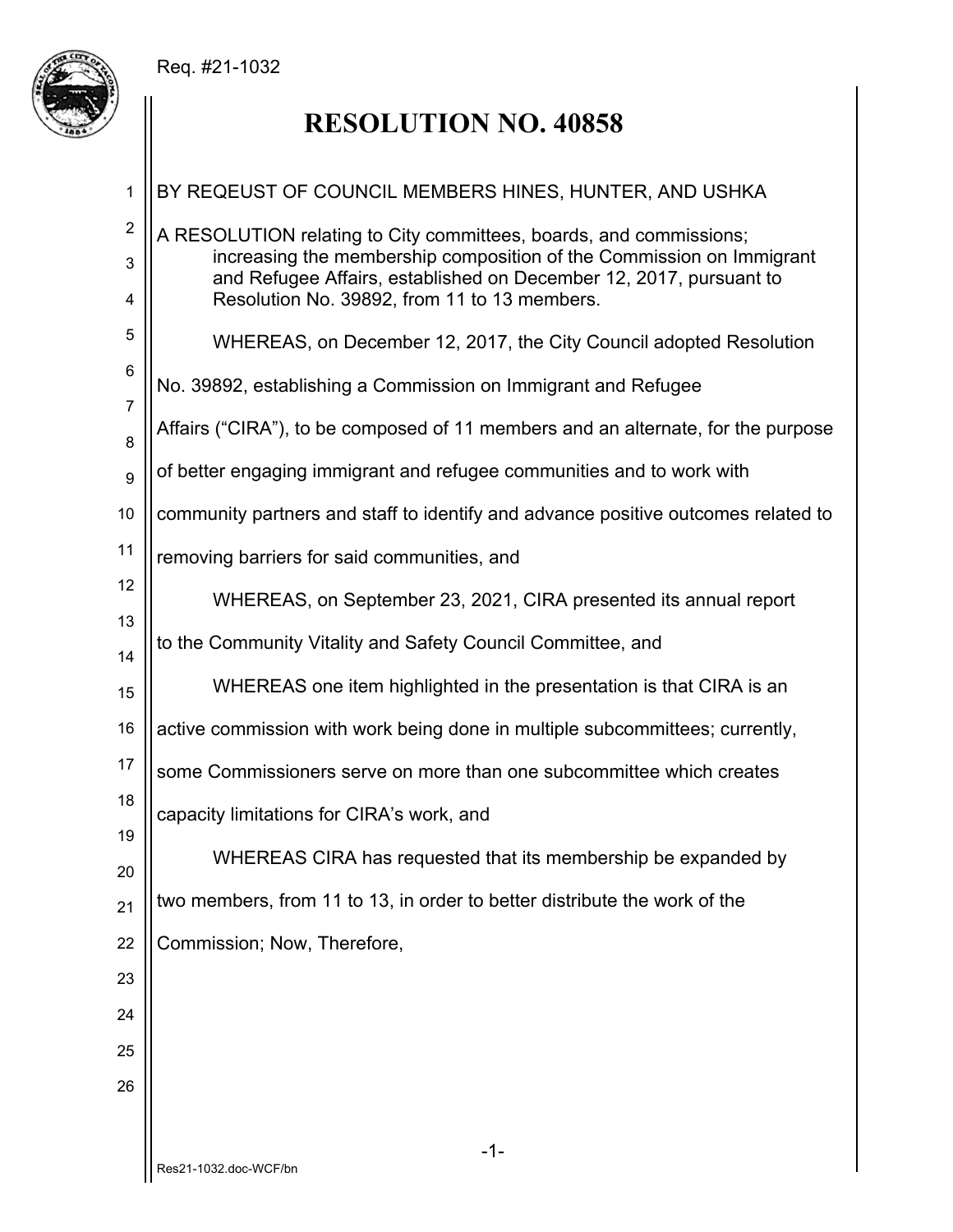## Req. #21-1032



# **RESOLUTION NO. 40858**

| 1                          | BY REQEUST OF COUNCIL MEMBERS HINES, HUNTER, AND USHKA                                                                                                                                                                                                           |
|----------------------------|------------------------------------------------------------------------------------------------------------------------------------------------------------------------------------------------------------------------------------------------------------------|
| $\boldsymbol{2}$<br>3<br>4 | A RESOLUTION relating to City committees, boards, and commissions;<br>increasing the membership composition of the Commission on Immigrant<br>and Refugee Affairs, established on December 12, 2017, pursuant to<br>Resolution No. 39892, from 11 to 13 members. |
| 5                          | WHEREAS, on December 12, 2017, the City Council adopted Resolution                                                                                                                                                                                               |
| 6                          | No. 39892, establishing a Commission on Immigrant and Refugee                                                                                                                                                                                                    |
| $\overline{7}$<br>8        | Affairs ("CIRA"), to be composed of 11 members and an alternate, for the purpose                                                                                                                                                                                 |
| 9                          | of better engaging immigrant and refugee communities and to work with                                                                                                                                                                                            |
| 10                         | community partners and staff to identify and advance positive outcomes related to                                                                                                                                                                                |
| 11                         | removing barriers for said communities, and                                                                                                                                                                                                                      |
| 12                         | WHEREAS, on September 23, 2021, CIRA presented its annual report                                                                                                                                                                                                 |
| 13<br>14                   | to the Community Vitality and Safety Council Committee, and                                                                                                                                                                                                      |
| 15                         | WHEREAS one item highlighted in the presentation is that CIRA is an                                                                                                                                                                                              |
| 16                         | active commission with work being done in multiple subcommittees; currently,                                                                                                                                                                                     |
| 17                         | some Commissioners serve on more than one subcommittee which creates                                                                                                                                                                                             |
| 18                         | capacity limitations for CIRA's work, and                                                                                                                                                                                                                        |
| 19<br>20                   | WHEREAS CIRA has requested that its membership be expanded by                                                                                                                                                                                                    |
| 21                         | two members, from 11 to 13, in order to better distribute the work of the                                                                                                                                                                                        |
| 22                         | Commission; Now, Therefore,                                                                                                                                                                                                                                      |
| 23                         |                                                                                                                                                                                                                                                                  |
| 24                         |                                                                                                                                                                                                                                                                  |
| 25                         |                                                                                                                                                                                                                                                                  |
| 26                         |                                                                                                                                                                                                                                                                  |
|                            | $-1-$                                                                                                                                                                                                                                                            |
|                            | Res21-1032.doc-WCF/bn                                                                                                                                                                                                                                            |